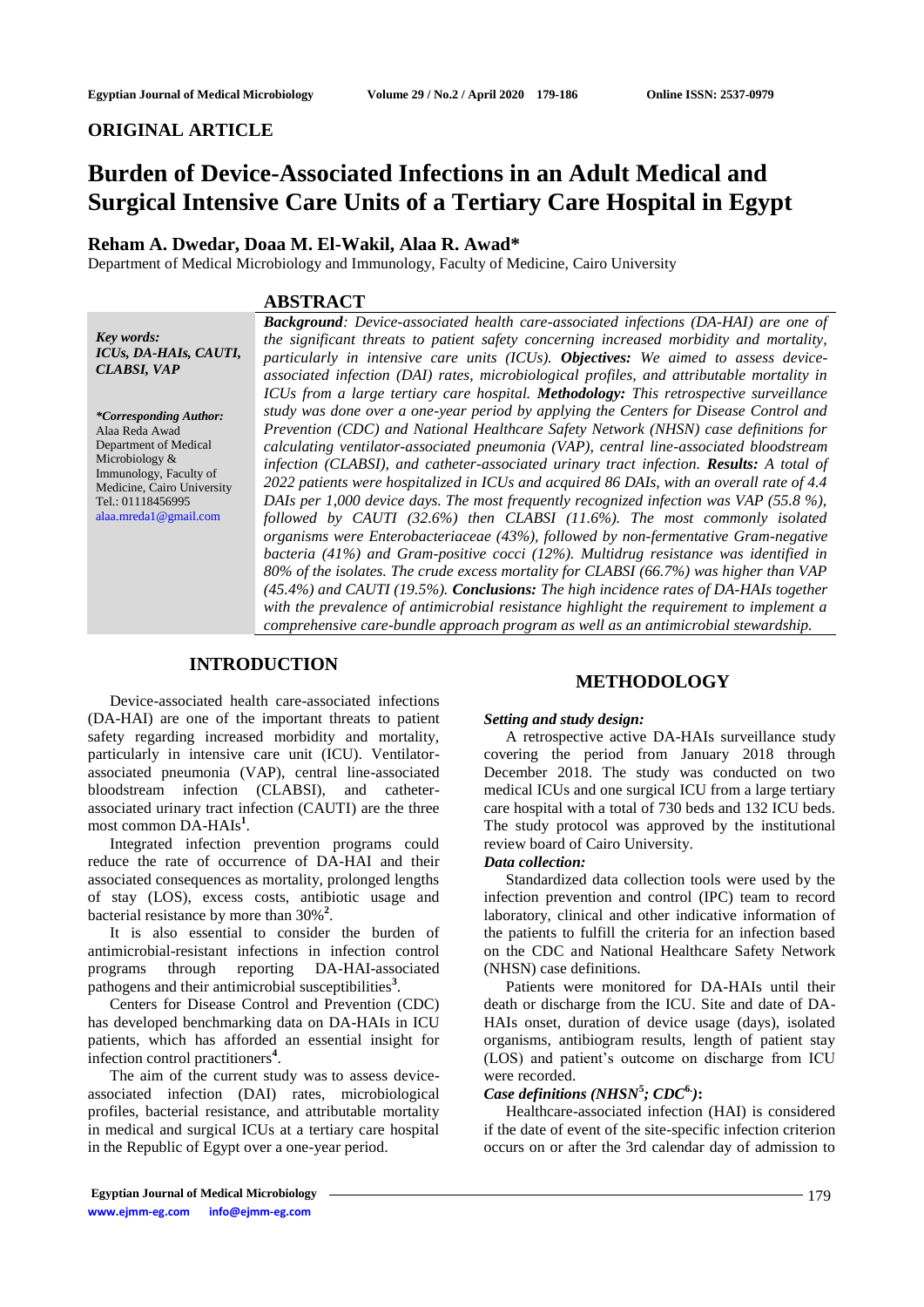# **ORIGINAL ARTICLE**

# **Burden of Device-Associated Infections in an Adult Medical and Surgical Intensive Care Units of a Tertiary Care Hospital in Egypt**

# **Reham A. Dwedar, Doaa M. El-Wakil, Alaa R. Awad\***

Department of Medical Microbiology and Immunology, Faculty of Medicine, Cairo University

### **ABSTRACT**

*Key words: ICUs, DA-HAIs, CAUTI, CLABSI, VAP*

*\*Corresponding Author:* Alaa Reda Awad Department of Medical Microbiology & Immunology, Faculty of Medicine, Cairo University Tel.: 01118456995 [alaa.mreda1@gmail.com](mailto:alaa.mreda1@gmail.com)

*Background: Device-associated health care-associated infections (DA-HAI) are one of the significant threats to patient safety concerning increased morbidity and mortality, particularly in intensive care units (ICUs). Objectives: We aimed to assess deviceassociated infection (DAI) rates, microbiological profiles, and attributable mortality in ICUs from a large tertiary care hospital. Methodology: This retrospective surveillance study was done over a one-year period by applying the Centers for Disease Control and Prevention (CDC) and National Healthcare Safety Network (NHSN) case definitions for calculating ventilator-associated pneumonia (VAP), central line-associated bloodstream infection (CLABSI), and catheter-associated urinary tract infection. Results: A total of 2022 patients were hospitalized in ICUs and acquired 86 DAIs, with an overall rate of 4.4 DAIs per 1,000 device days. The most frequently recognized infection was VAP (55.8 %), followed by CAUTI (32.6%) then CLABSI (11.6%). The most commonly isolated organisms were Enterobacteriaceae (43%), followed by non-fermentative Gram-negative bacteria (41%) and Gram-positive cocci (12%). Multidrug resistance was identified in 80% of the isolates. The crude excess mortality for CLABSI (66.7%) was higher than VAP (45.4%) and CAUTI (19.5%). Conclusions: The high incidence rates of DA-HAIs together with the prevalence of antimicrobial resistance highlight the requirement to implement a comprehensive care-bundle approach program as well as an antimicrobial stewardship.*

# **INTRODUCTION**

Device-associated health care-associated infections (DA-HAI) are one of the important threats to patient safety regarding increased morbidity and mortality, particularly in intensive care unit (ICU). Ventilatorassociated pneumonia (VAP), central line-associated bloodstream infection (CLABSI), and catheterassociated urinary tract infection (CAUTI) are the three most common DA-HAIs**<sup>1</sup>** .

Integrated infection prevention programs could reduce the rate of occurrence of DA-HAI and their associated consequences as mortality, prolonged lengths of stay (LOS), excess costs, antibiotic usage and bacterial resistance by more than 30%**<sup>2</sup>** .

It is also essential to consider the burden of antimicrobial-resistant infections in infection control programs through reporting DA-HAI-associated pathogens and their antimicrobial susceptibilities**<sup>3</sup>** .

Centers for Disease Control and Prevention (CDC) has developed benchmarking data on DA-HAIs in ICU patients, which has afforded an essential insight for infection control practitioners**<sup>4</sup>** .

The aim of the current study was to assess deviceassociated infection (DAI) rates, microbiological profiles, bacterial resistance, and attributable mortality in medical and surgical ICUs at a tertiary care hospital in the Republic of Egypt over a one-year period.

### **METHODOLOGY**

#### *Setting and study design:*

A retrospective active DA-HAIs surveillance study covering the period from January 2018 through December 2018. The study was conducted on two medical ICUs and one surgical ICU from a large tertiary care hospital with a total of 730 beds and 132 ICU beds. The study protocol was approved by the institutional review board of Cairo University.

#### *Data collection:*

Standardized data collection tools were used by the infection prevention and control (IPC) team to record laboratory, clinical and other indicative information of the patients to fulfill the criteria for an infection based on the CDC and National Healthcare Safety Network (NHSN) case definitions.

Patients were monitored for DA-HAIs until their death or discharge from the ICU. Site and date of DA-HAIs onset, duration of device usage (days), isolated organisms, antibiogram results, length of patient stay (LOS) and patient's outcome on discharge from ICU were recorded.

# *Case definitions (NHSN***<sup>5</sup>** *; CDC***6.***)***:**

Healthcare-associated infection (HAI) is considered if the date of event of the site-specific infection criterion occurs on or after the 3rd calendar day of admission to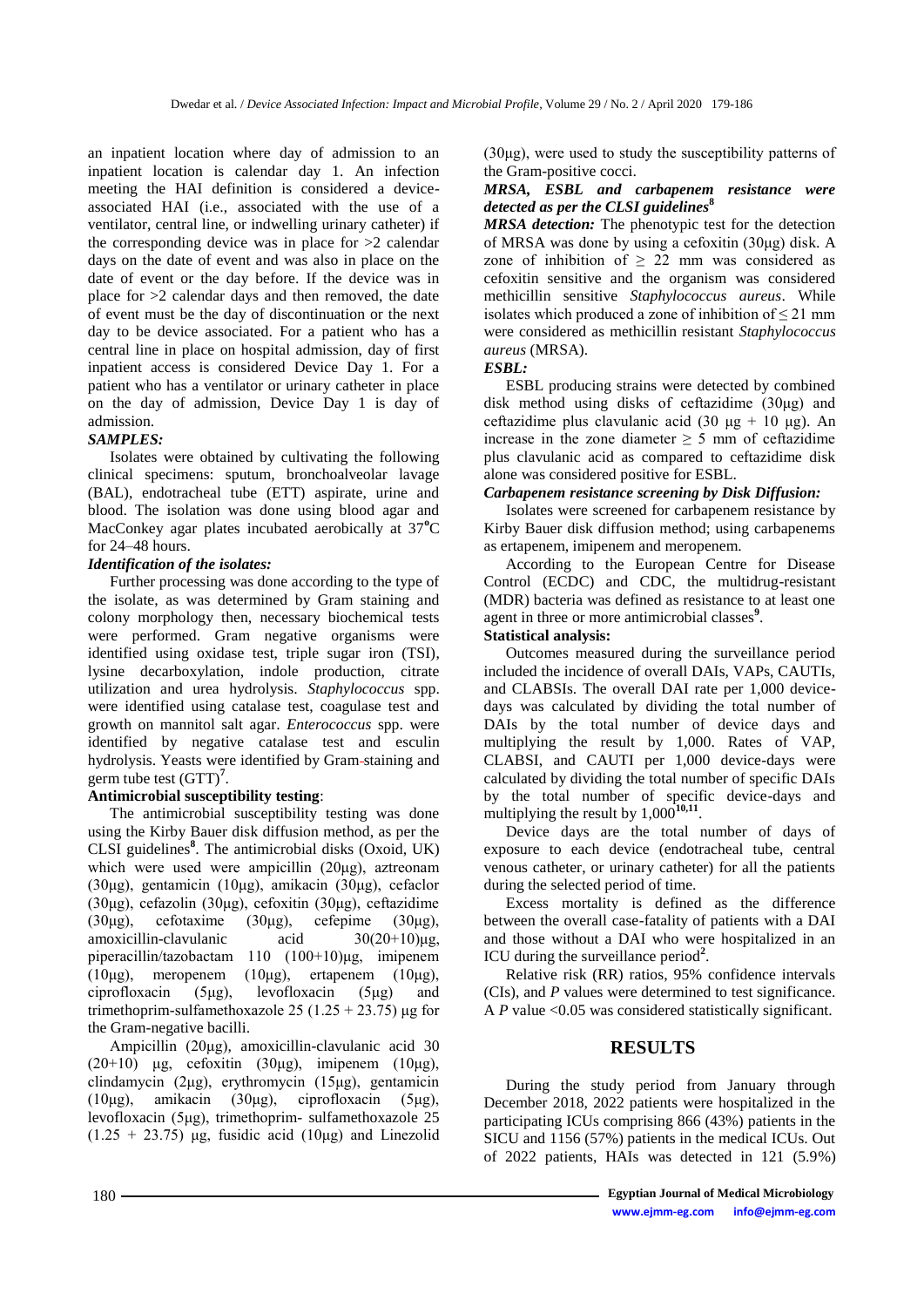an inpatient location where day of admission to an inpatient location is calendar day 1. An infection meeting the HAI definition is considered a deviceassociated HAI (i.e., associated with the use of a ventilator, central line, or indwelling urinary catheter) if the corresponding device was in place for  $>2$  calendar days on the date of event and was also in place on the date of event or the day before. If the device was in place for >2 calendar days and then removed, the date of event must be the day of discontinuation or the next day to be device associated. For a patient who has a central line in place on hospital admission, day of first inpatient access is considered Device Day 1. For a patient who has a ventilator or urinary catheter in place on the day of admission, Device Day 1 is day of admission.

# *SAMPLES:*

Isolates were obtained by cultivating the following clinical specimens: sputum, bronchoalveolar lavage (BAL), endotracheal tube (ETT) aspirate, urine and blood. The isolation was done using blood agar and MacConkey agar plates incubated aerobically at 37<sup>°</sup>C for 24–48 hours.

# *Identification of the isolates:*

Further processing was done according to the type of the isolate, as was determined by Gram staining and colony morphology then, necessary biochemical tests were performed. Gram negative organisms were identified using oxidase test, triple sugar iron (TSI), lysine decarboxylation, indole production, citrate utilization and urea hydrolysis. *Staphylococcus* spp. were identified using catalase test, coagulase test and growth on mannitol salt agar. *Enterococcus* spp. were identified by negative catalase test and esculin hydrolysis. Yeasts were identified by Gram staining and germ tube test (GTT)**<sup>7</sup>** .

# **Antimicrobial susceptibility testing**:

The antimicrobial susceptibility testing was done using the Kirby Bauer disk diffusion method, as per the CLSI guidelines**<sup>8</sup>** . The antimicrobial disks (Oxoid, UK) which were used were ampicillin (20μg), aztreonam (30μg), gentamicin (10μg), amikacin (30μg), cefaclor (30μg), cefazolin (30μg), cefoxitin (30μg), ceftazidime (30μg), cefotaxime (30μg), cefepime (30μg), amoxicillin-clavulanic acid 30(20+10)μg, piperacillin/tazobactam 110 (100+10)μg, imipenem (10μg), meropenem (10μg), ertapenem (10μg), ciprofloxacin (5μg), levofloxacin (5μg) and trimethoprim-sulfamethoxazole 25 (1.25 + 23.75) μg for the Gram-negative bacilli.

Ampicillin (20μg), amoxicillin-clavulanic acid 30 (20+10) μg, cefoxitin (30μg), imipenem (10μg), clindamycin (2μg), erythromycin (15μg), gentamicin (10μg), amikacin (30μg), ciprofloxacin (5μg), levofloxacin (5μg), trimethoprim- sulfamethoxazole 25  $(1.25 + 23.75)$  μg, fusidic acid  $(10\mu g)$  and Linezolid

(30μg), were used to study the susceptibility patterns of the Gram-positive cocci.

# *MRSA, ESBL and carbapenem resistance were detected as per the CLSI guidelines***<sup>8</sup>**

*MRSA detection:* The phenotypic test for the detection of MRSA was done by using a cefoxitin (30μg) disk. A zone of inhibition of  $\geq$  22 mm was considered as cefoxitin sensitive and the organism was considered methicillin sensitive *Staphylococcus aureus*. While isolates which produced a zone of inhibition of  $\leq$  21 mm were considered as methicillin resistant *Staphylococcus aureus* (MRSA).

### *ESBL:*

ESBL producing strains were detected by combined disk method using disks of ceftazidime (30μg) and ceftazidime plus clavulanic acid (30 μg + 10 μg). An increase in the zone diameter  $\geq$  5 mm of ceftazidime plus clavulanic acid as compared to ceftazidime disk alone was considered positive for ESBL.

# *Carbapenem resistance screening by Disk Diffusion:*

Isolates were screened for carbapenem resistance by Kirby Bauer disk diffusion method; using carbapenems as ertapenem, imipenem and meropenem.

According to the European Centre for Disease Control (ECDC) and CDC, the multidrug-resistant (MDR) bacteria was defined as resistance to at least one agent in three or more antimicrobial classes**<sup>9</sup>** .

# **Statistical analysis:**

Outcomes measured during the surveillance period included the incidence of overall DAIs, VAPs, CAUTIs, and CLABSIs. The overall DAI rate per 1,000 devicedays was calculated by dividing the total number of DAIs by the total number of device days and multiplying the result by 1,000. Rates of VAP, CLABSI, and CAUTI per 1,000 device-days were calculated by dividing the total number of specific DAIs by the total number of specific device-days and multiplying the result by  $1,000^{10,11}$ .

Device days are the total number of days of exposure to each device (endotracheal tube, central venous catheter, or urinary catheter) for all the patients during the selected period of time.

Excess mortality is defined as the difference between the overall case-fatality of patients with a DAI and those without a DAI who were hospitalized in an ICU during the surveillance period<sup>2</sup>.

Relative risk (RR) ratios, 95% confidence intervals (CIs), and *P* values were determined to test significance. A *P* value <0.05 was considered statistically significant.

# **RESULTS**

During the study period from January through December 2018, 2022 patients were hospitalized in the participating ICUs comprising 866 (43%) patients in the SICU and 1156 (57%) patients in the medical ICUs. Out of 2022 patients, HAIs was detected in 121 (5.9%)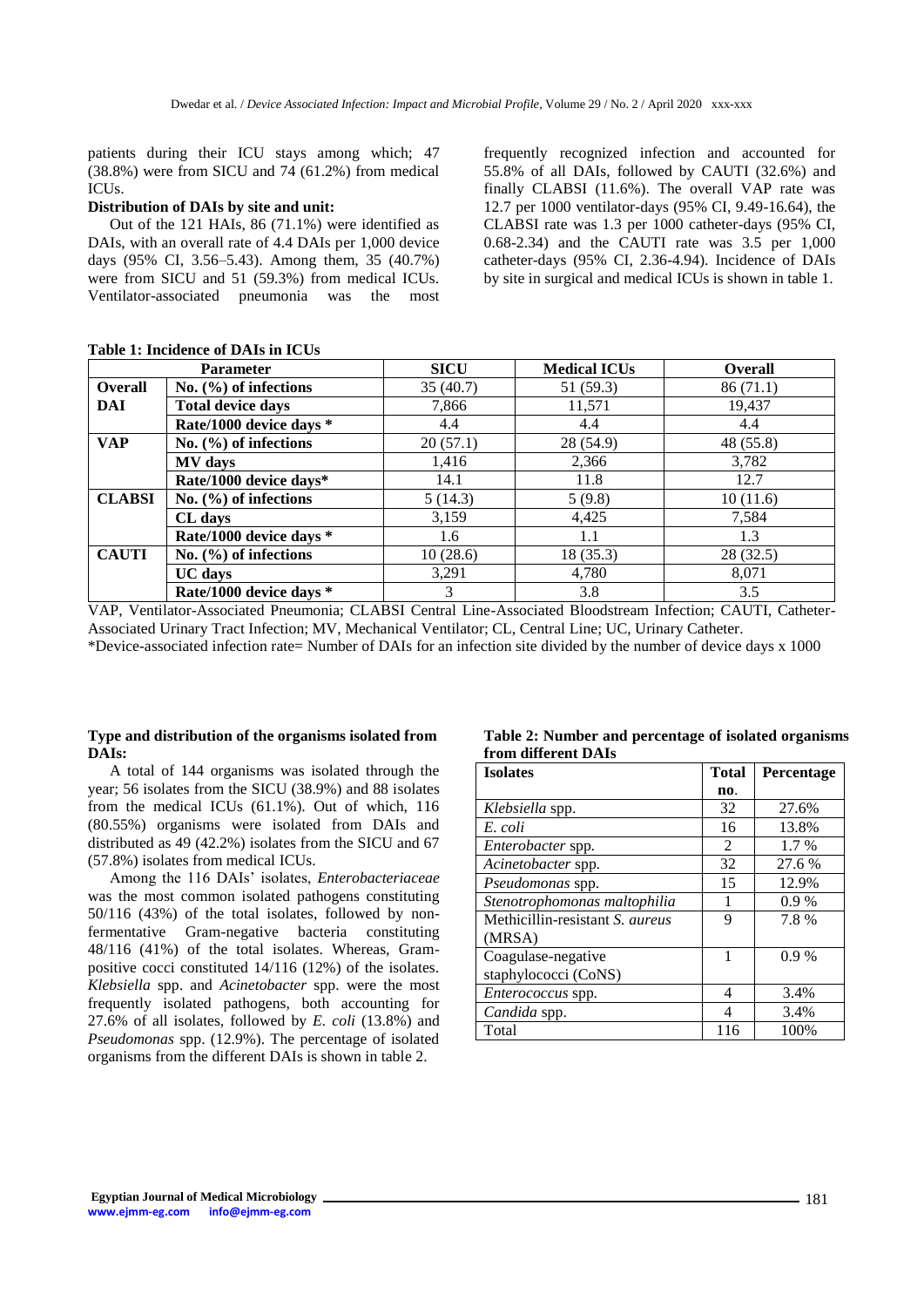patients during their ICU stays among which; 47 (38.8%) were from SICU and 74 (61.2%) from medical ICUs.

#### **Distribution of DAIs by site and unit:**

Out of the 121 HAIs, 86 (71.1%) were identified as DAIs, with an overall rate of 4.4 DAIs per 1,000 device days (95% CI, 3.56–5.43). Among them, 35 (40.7%) were from SICU and 51 (59.3%) from medical ICUs. Ventilator-associated pneumonia was the most frequently recognized infection and accounted for 55.8% of all DAIs, followed by CAUTI (32.6%) and finally CLABSI (11.6%). The overall VAP rate was 12.7 per 1000 ventilator-days (95% CI, 9.49-16.64), the CLABSI rate was 1.3 per 1000 catheter-days (95% CI, 0.68-2.34) and the CAUTI rate was 3.5 per 1,000 catheter-days (95% CI, 2.36-4.94). Incidence of DAIs by site in surgical and medical ICUs is shown in table 1.

| <b>Parameter</b> |                           | <b>SICU</b> | <b>Medical ICUs</b> | <b>Overall</b> |  |
|------------------|---------------------------|-------------|---------------------|----------------|--|
| <b>Overall</b>   | No. $(\% )$ of infections | 35(40.7)    | 51 (59.3)           | 86(71.1)       |  |
| DAI              | <b>Total device days</b>  | 7,866       | 11,571              | 19,437         |  |
|                  | Rate/1000 device days *   | 4.4         | 4.4                 | 4.4            |  |
| <b>VAP</b>       | No. $(\% )$ of infections | 20(57.1)    | 28 (54.9)           | 48 (55.8)      |  |
|                  | <b>MV</b> days            | 1,416       | 2,366               | 3,782          |  |
|                  | Rate/1000 device days*    | 14.1        | 11.8                | 12.7           |  |
| <b>CLABSI</b>    | No. $(\% )$ of infections | 5(14.3)     | 5(9.8)              | 10(11.6)       |  |
|                  | CL days                   | 3,159       | 4,425               | 7,584          |  |
|                  | Rate/1000 device days *   | 1.6         | 1.1                 | 1.3            |  |
| <b>CAUTI</b>     | No. $(\% )$ of infections | 10(28.6)    | 18(35.3)            | 28(32.5)       |  |
|                  | <b>UC</b> days            | 3,291       | 4,780               | 8,071          |  |
|                  | Rate/1000 device days *   | 3           | 3.8                 | 3.5            |  |

#### **Table 1: Incidence of DAIs in ICUs**

VAP, Ventilator-Associated Pneumonia; CLABSI Central Line-Associated Bloodstream Infection; CAUTI, Catheter-Associated Urinary Tract Infection; MV, Mechanical Ventilator; CL, Central Line; UC, Urinary Catheter. \*Device-associated infection rate= Number of DAIs for an infection site divided by the number of device days x 1000

#### **Type and distribution of the organisms isolated from DAIs:**

A total of 144 organisms was isolated through the year; 56 isolates from the SICU (38.9%) and 88 isolates from the medical ICUs (61.1%). Out of which, 116 (80.55%) organisms were isolated from DAIs and distributed as 49 (42.2%) isolates from the SICU and 67 (57.8%) isolates from medical ICUs.

Among the 116 DAIs' isolates, *Enterobacteriaceae* was the most common isolated pathogens constituting 50/116 (43%) of the total isolates, followed by nonfermentative Gram-negative bacteria constituting 48/116 (41%) of the total isolates. Whereas, Grampositive cocci constituted 14/116 (12%) of the isolates*. Klebsiella* spp. and *Acinetobacter* spp. were the most frequently isolated pathogens, both accounting for 27.6% of all isolates, followed by *E. coli* (13.8%) and *Pseudomonas* spp. (12.9%). The percentage of isolated organisms from the different DAIs is shown in table 2.

#### **Table 2: Number and percentage of isolated organisms from different DAIs**

| <b>Isolates</b>                 | <b>Total</b>  | Percentage |  |
|---------------------------------|---------------|------------|--|
|                                 | no.           |            |  |
| Klebsiella spp.                 | 32            | 27.6%      |  |
| E. coli                         | 16            | 13.8%      |  |
| Enterobacter spp.               | $\mathcal{L}$ | $1.7\%$    |  |
| Acinetobacter spp.              | 32            | 27.6 %     |  |
| Pseudomonas spp.                | 15            | 12.9%      |  |
| Stenotrophomonas maltophilia    |               | $0.9\%$    |  |
| Methicillin-resistant S. aureus | 9             | 7.8%       |  |
| (MRSA)                          |               |            |  |
| Coagulase-negative              | 1             | 0.9%       |  |
| staphylococci (CoNS)            |               |            |  |
| Enterococcus spp.               | 4             | 3.4%       |  |
| Candida spp.                    | Δ             | 3.4%       |  |
| Total                           | 116           | 100%       |  |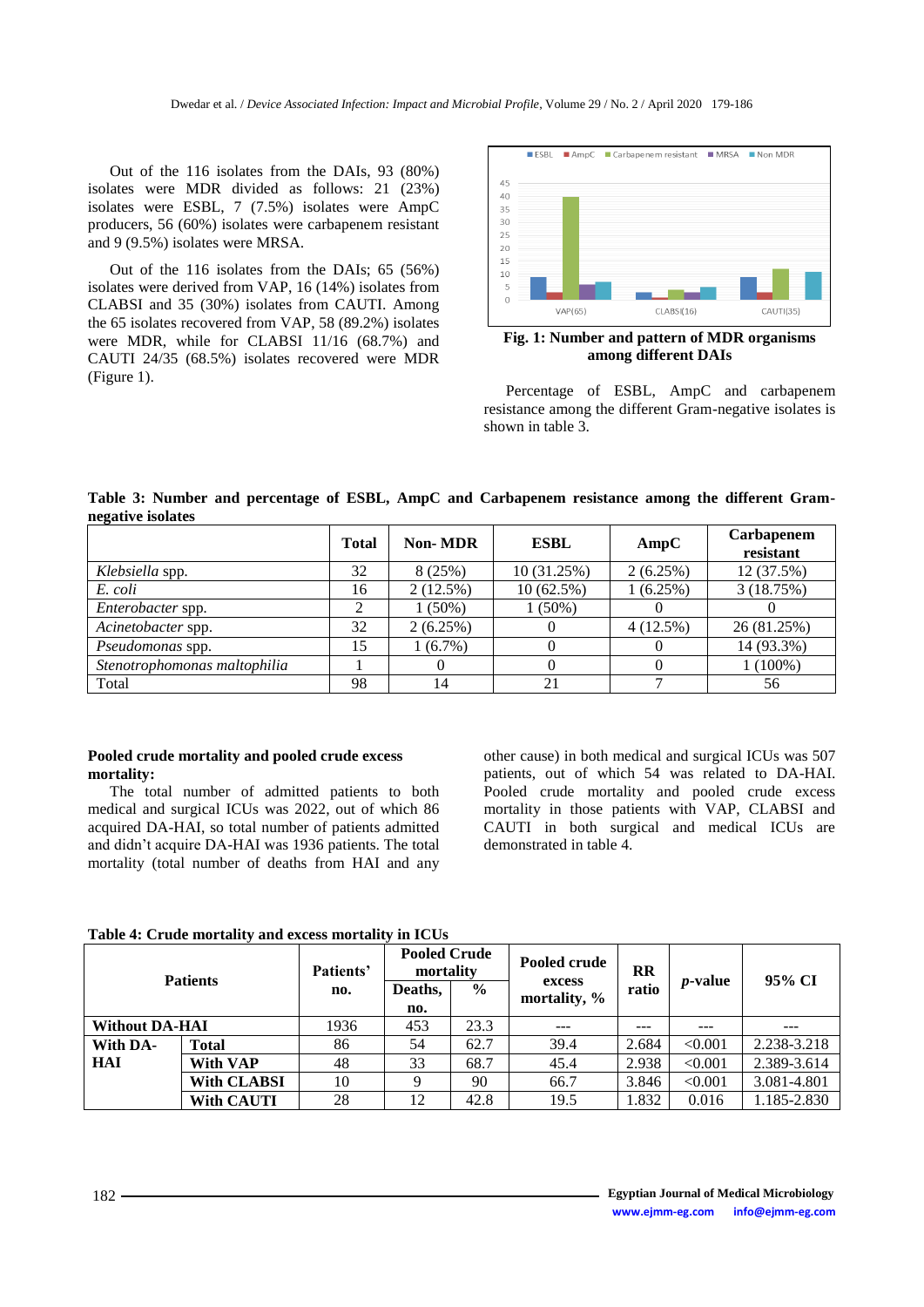Out of the 116 isolates from the DAIs, 93 (80%) isolates were MDR divided as follows: 21 (23%) isolates were ESBL, 7 (7.5%) isolates were AmpC producers, 56 (60%) isolates were carbapenem resistant and 9 (9.5%) isolates were MRSA.

Out of the 116 isolates from the DAIs; 65 (56%) isolates were derived from VAP, 16 (14%) isolates from CLABSI and 35 (30%) isolates from CAUTI. Among the 65 isolates recovered from VAP, 58 (89.2%) isolates were MDR, while for CLABSI 11/16 (68.7%) and CAUTI 24/35 (68.5%) isolates recovered were MDR (Figure 1).



**Fig. 1: Number and pattern of MDR organisms among different DAIs**

Percentage of ESBL, AmpC and carbapenem resistance among the different Gram-negative isolates is shown in table 3.

**Table 3: Number and percentage of ESBL, AmpC and Carbapenem resistance among the different Gramnegative isolates**

|                              | <b>Total</b> | <b>Non-MDR</b> | <b>ESBL</b> | AmpC     | Carbapenem<br>resistant |
|------------------------------|--------------|----------------|-------------|----------|-------------------------|
| Klebsiella spp.              | 32           | 8(25%)         | 10 (31.25%) | 2(6.25%) | 12 (37.5%)              |
| E. coli                      | 16           | $2(12.5\%)$    | 10(62.5%)   | 1(6.25%) | 3(18.75%)               |
| Enterobacter spp.            |              | $1(50\%)$      | $1(50\%)$   |          |                         |
| Acinetobacter spp.           | 32           | 2(6.25%)       | $\theta$    | 4(12.5%) | 26 (81.25%)             |
| <i>Pseudomonas</i> spp.      | 15           | $1(6.7\%)$     |             |          | 14 (93.3%)              |
| Stenotrophomonas maltophilia |              |                | $\theta$    |          | $1(100\%)$              |
| Total                        | 98           | 14             | 21          |          | 56                      |

# **Pooled crude mortality and pooled crude excess mortality:**

The total number of admitted patients to both medical and surgical ICUs was 2022, out of which 86 acquired DA-HAI, so total number of patients admitted and didn't acquire DA-HAI was 1936 patients. The total mortality (total number of deaths from HAI and any

other cause) in both medical and surgical ICUs was 507 patients, out of which 54 was related to DA-HAI. Pooled crude mortality and pooled crude excess mortality in those patients with VAP, CLABSI and CAUTI in both surgical and medical ICUs are demonstrated in table 4.

#### **Table 4: Crude mortality and excess mortality in ICUs**

| <b>Patients</b>       |                    | Patients'<br>no. | <b>Pooled Crude</b><br>mortality |               | Pooled crude<br>excess | <b>RR</b> | <i>p</i> -value | 95% CI      |
|-----------------------|--------------------|------------------|----------------------------------|---------------|------------------------|-----------|-----------------|-------------|
|                       |                    |                  | Deaths,<br>no.                   | $\frac{6}{9}$ | mortality, %           | ratio     |                 |             |
|                       |                    |                  |                                  |               |                        |           |                 |             |
| <b>Without DA-HAI</b> |                    | 1936             | 453                              | 23.3          | $- - -$                | ---       |                 | ---         |
| With DA-              | Total              | 86               | 54                               | 62.7          | 39.4                   | 2.684     | < 0.001         | 2.238-3.218 |
| HAI                   | <b>With VAP</b>    | 48               | 33                               | 68.7          | 45.4                   | 2.938     | < 0.001         | 2.389-3.614 |
|                       | <b>With CLABSI</b> | 10               |                                  | 90            | 66.7                   | 3.846     | < 0.001         | 3.081-4.801 |
|                       | <b>With CAUTI</b>  | 28               | 12                               | 42.8          | 19.5                   | 1.832     | 0.016           | 1.185-2.830 |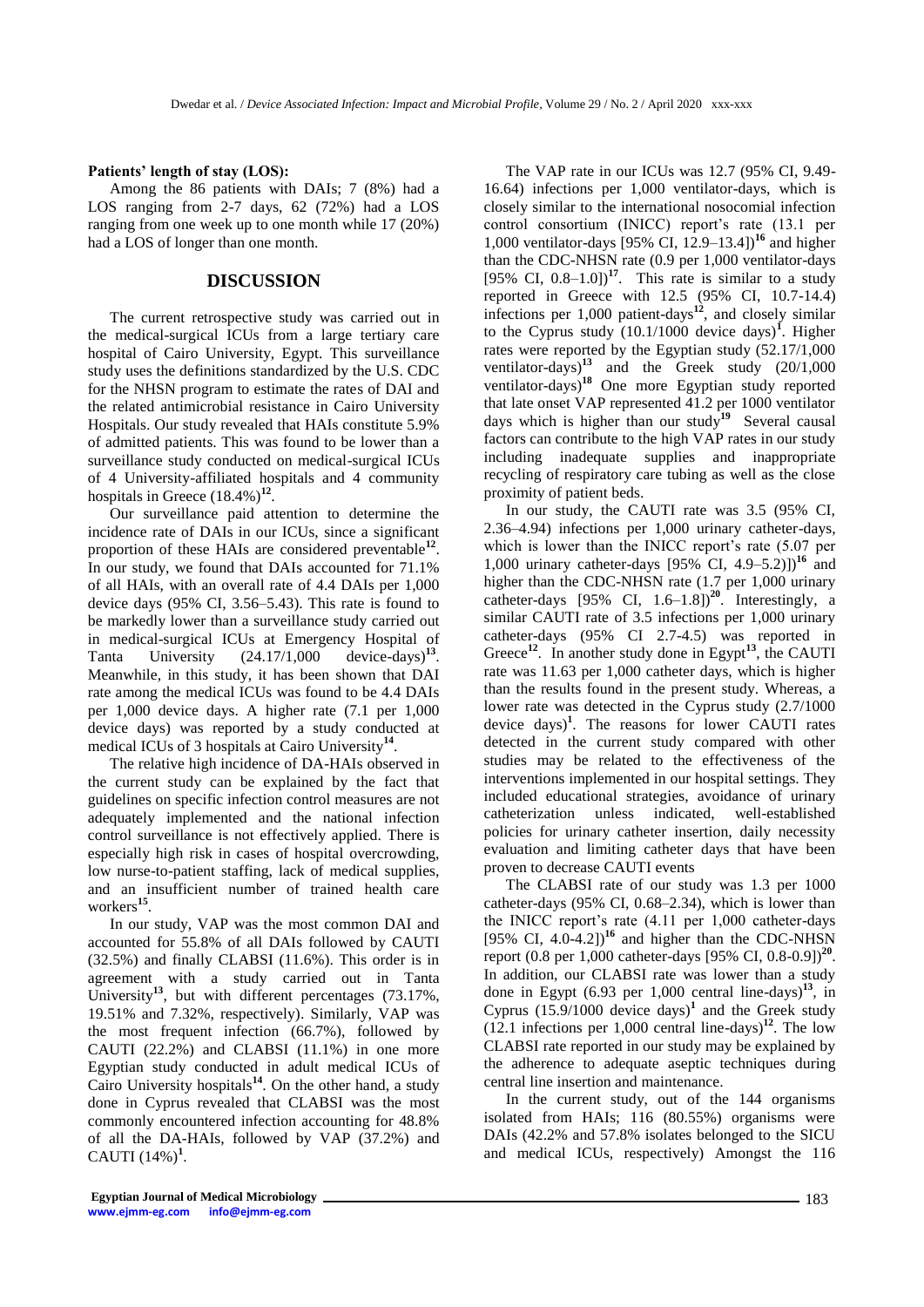#### **Patients' length of stay (LOS):**

Among the 86 patients with DAIs; 7 (8%) had a LOS ranging from 2-7 days, 62 (72%) had a LOS ranging from one week up to one month while 17 (20%) had a LOS of longer than one month.

# **DISCUSSION**

The current retrospective study was carried out in the medical-surgical ICUs from a large tertiary care hospital of Cairo University, Egypt. This surveillance study uses the definitions standardized by the U.S. CDC for the NHSN program to estimate the rates of DAI and the related antimicrobial resistance in Cairo University Hospitals. Our study revealed that HAIs constitute 5.9% of admitted patients. This was found to be lower than a surveillance study conducted on medical-surgical ICUs of 4 University-affiliated hospitals and 4 community hospitals in Greece  $(18.4\%)^{12}$ .

Our surveillance paid attention to determine the incidence rate of DAIs in our ICUs, since a significant proportion of these HAIs are considered preventable<sup>12</sup>. In our study, we found that DAIs accounted for 71.1% of all HAIs, with an overall rate of 4.4 DAIs per 1,000 device days (95% CI, 3.56–5.43). This rate is found to be markedly lower than a surveillance study carried out in medical-surgical ICUs at Emergency Hospital of Tanta University (24.17/1,000 device-days)**<sup>13</sup>** . Meanwhile, in this study, it has been shown that DAI rate among the medical ICUs was found to be 4.4 DAIs per 1,000 device days. A higher rate (7.1 per 1,000 device days) was reported by a study conducted at medical ICUs of 3 hospitals at Cairo University**<sup>14</sup>** .

The relative high incidence of DA-HAIs observed in the current study can be explained by the fact that guidelines on specific infection control measures are not adequately implemented and the national infection control surveillance is not effectively applied. There is especially high risk in cases of hospital overcrowding, low nurse-to-patient staffing, lack of medical supplies, and an insufficient number of trained health care workers**<sup>15</sup>** .

In our study, VAP was the most common DAI and accounted for 55.8% of all DAIs followed by CAUTI (32.5%) and finally CLABSI (11.6%). This order is in agreement with a study carried out in Tanta University**<sup>13</sup>**, but with different percentages (73.17%, 19.51% and 7.32%, respectively). Similarly, VAP was the most frequent infection (66.7%), followed by CAUTI (22.2%) and CLABSI (11.1%) in one more Egyptian study conducted in adult medical ICUs of Cairo University hospitals**<sup>14</sup>** . On the other hand, a study done in Cyprus revealed that CLABSI was the most commonly encountered infection accounting for 48.8% of all the DA-HAIs, followed by VAP (37.2%) and CAUTI  $(14\%)^1$ .

The VAP rate in our ICUs was 12.7 (95% CI, 9.49- 16.64) infections per 1,000 ventilator-days, which is closely similar to the international nosocomial infection control consortium (INICC) report's rate (13.1 per 1,000 ventilator-days [95% CI, 12.9–13.4])**<sup>16</sup>** and higher than the CDC-NHSN rate (0.9 per 1,000 ventilator-days [95% CI,  $0.8-1.0$ ]<sup>17</sup>. This rate is similar to a study reported in Greece with 12.5 (95% CI, 10.7-14.4) infections per 1,000 patient-days**<sup>12</sup>**, and closely similar to the Cyprus study  $(10.1/1000$  device days)<sup>1</sup>. Higher rates were reported by the Egyptian study (52.17/1,000 ventilator-days)**<sup>13</sup>** and the Greek study (20/1,000 ventilator-days)**<sup>18</sup>** One more Egyptian study reported that late onset VAP represented 41.2 per 1000 ventilator days which is higher than our study**<sup>19</sup>** Several causal factors can contribute to the high VAP rates in our study including inadequate supplies and inappropriate recycling of respiratory care tubing as well as the close proximity of patient beds.

In our study, the CAUTI rate was 3.5 (95% CI, 2.36–4.94) infections per 1,000 urinary catheter-days, which is lower than the INICC report's rate (5.07 per 1,000 urinary catheter-days [95% CI, 4.9–5.2)])**<sup>16</sup>** and higher than the CDC-NHSN rate (1.7 per 1,000 urinary catheter-days [95% CI, 1.6–1.8])**<sup>20</sup>** . Interestingly, a similar CAUTI rate of 3.5 infections per 1,000 urinary catheter-days (95% CI 2.7-4.5) was reported in Greece<sup>12</sup>. In another study done in Egypt<sup>13</sup>, the CAUTI rate was 11.63 per 1,000 catheter days, which is higher than the results found in the present study. Whereas, a lower rate was detected in the Cyprus study (2.7/1000 device days)**<sup>1</sup>** . The reasons for lower CAUTI rates detected in the current study compared with other studies may be related to the effectiveness of the interventions implemented in our hospital settings. They included educational strategies, avoidance of urinary catheterization unless indicated, well-established policies for urinary catheter insertion, daily necessity evaluation and limiting catheter days that have been proven to decrease CAUTI events

The CLABSI rate of our study was 1.3 per 1000 catheter-days (95% CI, 0.68–2.34), which is lower than the INICC report's rate (4.11 per 1,000 catheter-days [95% CI, 4.0-4.2])**<sup>16</sup>** and higher than the CDC-NHSN report (0.8 per 1,000 catheter-days [95% CI, 0.8-0.9])**<sup>20</sup>** . In addition, our CLABSI rate was lower than a study done in Egypt (6.93 per 1,000 central line-days)**<sup>13</sup>**, in Cyprus  $(15.9/1000$  device days)<sup>1</sup> and the Greek study (12.1 infections per 1,000 central line-days)**<sup>12</sup>** . The low CLABSI rate reported in our study may be explained by the adherence to adequate aseptic techniques during central line insertion and maintenance.

In the current study, out of the 144 organisms isolated from HAIs; 116 (80.55%) organisms were DAIs (42.2% and 57.8% isolates belonged to the SICU and medical ICUs, respectively) Amongst the 116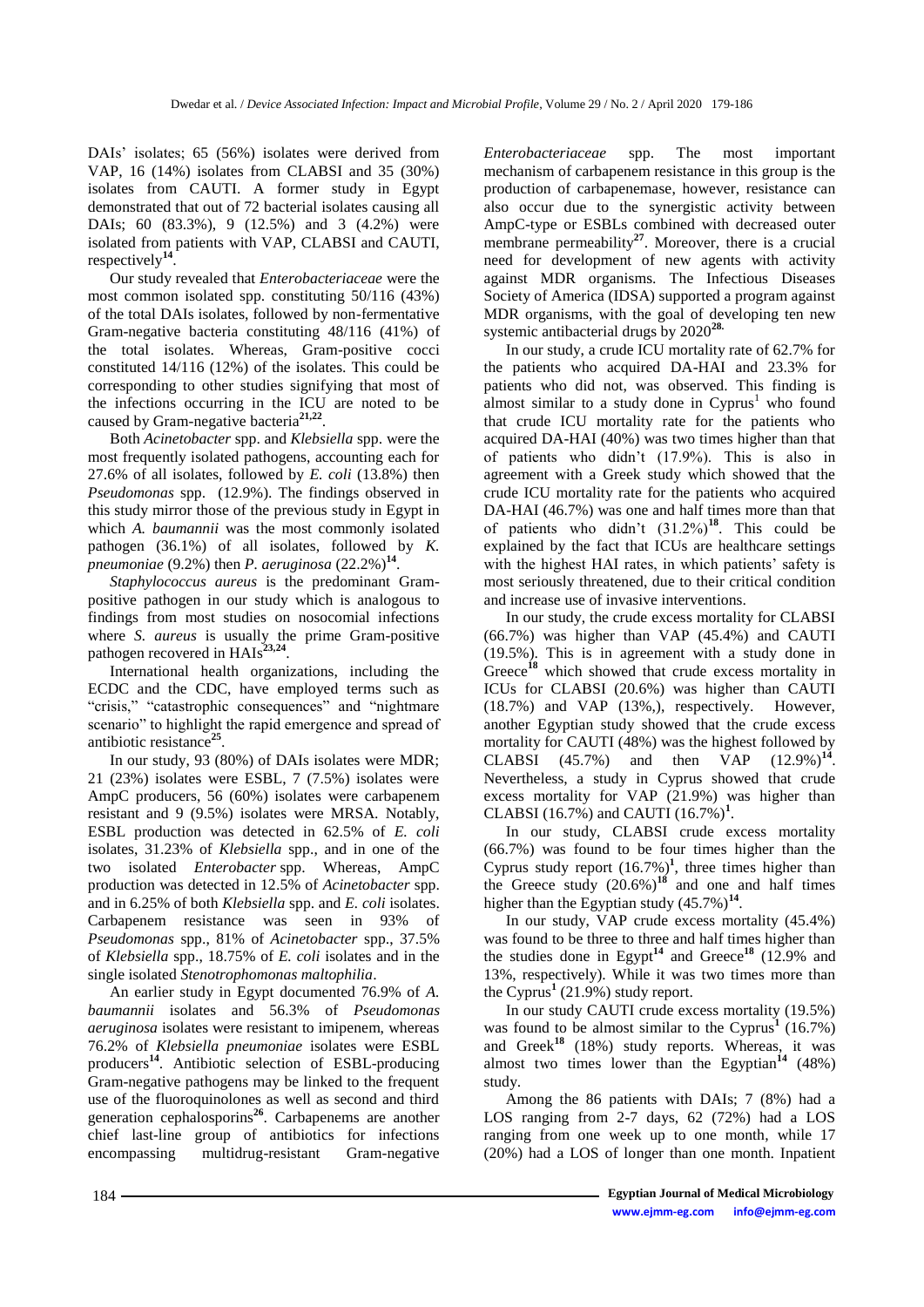DAIs' isolates; 65 (56%) isolates were derived from VAP, 16 (14%) isolates from CLABSI and 35 (30%) isolates from CAUTI. A former study in Egypt demonstrated that out of 72 bacterial isolates causing all DAIs; 60 (83.3%), 9 (12.5%) and 3 (4.2%) were isolated from patients with VAP, CLABSI and CAUTI, respectively**<sup>14</sup>** .

Our study revealed that *Enterobacteriaceae* were the most common isolated spp. constituting 50/116 (43%) of the total DAIs isolates, followed by non-fermentative Gram-negative bacteria constituting 48/116 (41%) of the total isolates. Whereas, Gram-positive cocci constituted 14/116 (12%) of the isolates. This could be corresponding to other studies signifying that most of the infections occurring in the ICU are noted to be caused by Gram-negative bacteria**21,22** .

Both *Acinetobacter* spp. and *Klebsiella* spp. were the most frequently isolated pathogens, accounting each for 27.6% of all isolates, followed by *E. coli* (13.8%) then *Pseudomonas* spp. (12.9%). The findings observed in this study mirror those of the previous study in Egypt in which *A. baumannii* was the most commonly isolated pathogen (36.1%) of all isolates, followed by *K. pneumoniae* (9.2%) then *P. aeruginosa* (22.2%)<sup>14</sup>.

*Staphylococcus aureus* is the predominant Grampositive pathogen in our study which is analogous to findings from most studies on nosocomial infections where *S. aureus* is usually the prime Gram-positive pathogen recovered in HAIs<sup>23,24</sup>.

International health organizations, including the ECDC and the CDC, have employed terms such as "crisis," "catastrophic consequences" and "nightmare scenario" to highlight the rapid emergence and spread of antibiotic resistance**<sup>25</sup>** .

In our study, 93 (80%) of DAIs isolates were MDR; 21 (23%) isolates were ESBL, 7 (7.5%) isolates were AmpC producers, 56 (60%) isolates were carbapenem resistant and 9 (9.5%) isolates were MRSA. Notably, ESBL production was detected in 62.5% of *E. coli*  isolates, 31.23% of *Klebsiella* spp., and in one of the two isolated *Enterobacter* spp. Whereas, AmpC production was detected in 12.5% of *Acinetobacter* spp. and in 6.25% of both *Klebsiella* spp. and *E. coli* isolates. Carbapenem resistance was seen in 93% of *Pseudomonas* spp., 81% of *Acinetobacter* spp., 37.5% of *Klebsiella* spp., 18.75% of *E. coli* isolates and in the single isolated *Stenotrophomonas maltophilia*.

An earlier study in Egypt documented 76.9% of *A. baumannii* isolates and 56.3% of *Pseudomonas aeruginosa* isolates were resistant to imipenem, whereas 76.2% of *Klebsiella pneumoniae* isolates were ESBL producers**<sup>14</sup>** . Antibiotic selection of ESBL-producing Gram-negative pathogens may be linked to the frequent use of the fluoroquinolones as well as second and third generation cephalosporins**<sup>26</sup>**. Carbapenems are another chief last-line group of antibiotics for infections encompassing multidrug-resistant Gram-negative

*Enterobacteriaceae* spp. The most important mechanism of carbapenem resistance in this group is the production of carbapenemase, however, resistance can also occur due to the synergistic activity between AmpC-type or ESBLs combined with decreased outer membrane permeability<sup>27</sup>. Moreover, there is a crucial need for development of new agents with activity against MDR organisms. The Infectious Diseases Society of America (IDSA) supported a program against MDR organisms, with the goal of developing ten new systemic antibacterial drugs by 2020**28.**

In our study, a crude ICU mortality rate of 62.7% for the patients who acquired DA-HAI and 23.3% for patients who did not, was observed. This finding is almost similar to a study done in  $Cyprus<sup>1</sup>$  who found that crude ICU mortality rate for the patients who acquired DA-HAI (40%) was two times higher than that of patients who didn't (17.9%). This is also in agreement with a Greek study which showed that the crude ICU mortality rate for the patients who acquired DA-HAI (46.7%) was one and half times more than that of patients who didn't  $(31.2\%)^{18}$ . This could be explained by the fact that ICUs are healthcare settings with the highest HAI rates, in which patients' safety is most seriously threatened, due to their critical condition and increase use of invasive interventions.

In our study, the crude excess mortality for CLABSI (66.7%) was higher than VAP (45.4%) and CAUTI (19.5%). This is in agreement with a study done in Greece**<sup>18</sup>** which showed that crude excess mortality in ICUs for CLABSI (20.6%) was higher than CAUTI (18.7%) and VAP (13%,), respectively. However, another Egyptian study showed that the crude excess mortality for CAUTI (48%) was the highest followed by  $CLABSI$   $(45.7%)$  and then  $VAP$  $(12.9\%)^{14}$ . Nevertheless, a study in Cyprus showed that crude excess mortality for VAP (21.9%) was higher than CLABSI (16.7%) and CAUTI  $(16.7\%)$ <sup>1</sup>.

In our study, CLABSI crude excess mortality (66.7%) was found to be four times higher than the Cyprus study report  $(16.7%)$ <sup>1</sup>, three times higher than the Greece study  $(20.6\%)$ <sup>18</sup> and one and half times higher than the Egyptian study  $(45.7%)^{14}$ .

In our study, VAP crude excess mortality (45.4%) was found to be three to three and half times higher than the studies done in Egypt**<sup>14</sup>** and Greece**<sup>18</sup>** (12.9% and 13%, respectively). While it was two times more than the Cyprus**<sup>1</sup>** (21.9%) study report.

In our study CAUTI crude excess mortality (19.5%) was found to be almost similar to the Cyprus<sup>1</sup>  $(16.7%)$ and Greek**<sup>18</sup>** (18%) study reports. Whereas, it was almost two times lower than the Egyptian<sup>14</sup>  $(48%)$ study.

Among the 86 patients with DAIs; 7 (8%) had a LOS ranging from 2-7 days, 62 (72%) had a LOS ranging from one week up to one month, while 17 (20%) had a LOS of longer than one month. Inpatient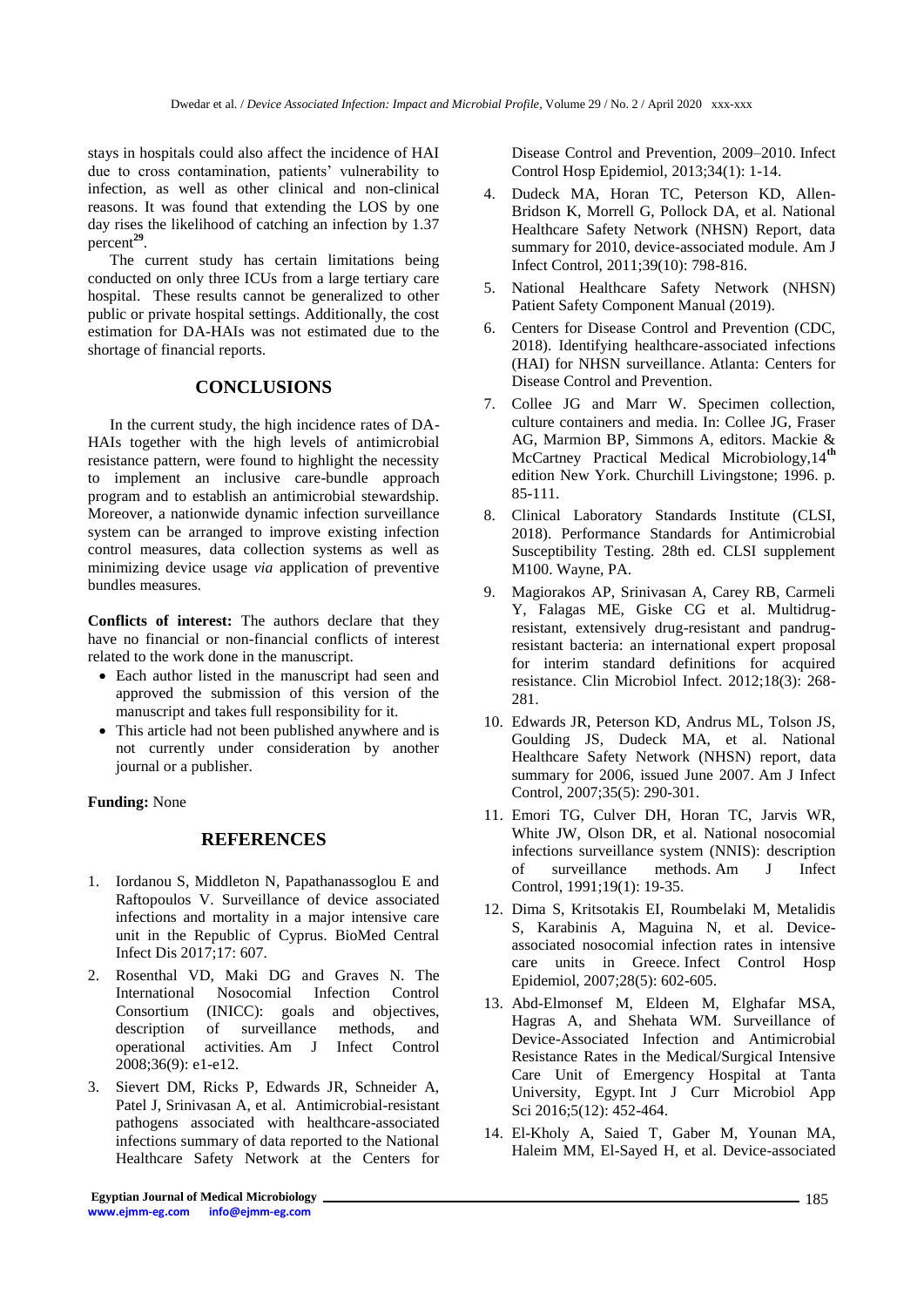stays in hospitals could also affect the incidence of HAI due to cross contamination, patients' vulnerability to infection, as well as other clinical and non-clinical reasons. It was found that extending the LOS by one day rises the likelihood of catching an infection by 1.37 percent**<sup>29</sup>** .

The current study has certain limitations being conducted on only three ICUs from a large tertiary care hospital. These results cannot be generalized to other public or private hospital settings. Additionally, the cost estimation for DA-HAIs was not estimated due to the shortage of financial reports.

# **CONCLUSIONS**

In the current study, the high incidence rates of DA-HAIs together with the high levels of antimicrobial resistance pattern, were found to highlight the necessity to implement an inclusive care-bundle approach program and to establish an antimicrobial stewardship. Moreover, a nationwide dynamic infection surveillance system can be arranged to improve existing infection control measures, data collection systems as well as minimizing device usage *via* application of preventive bundles measures.

**Conflicts of interest:** The authors declare that they have no financial or non-financial conflicts of interest related to the work done in the manuscript.

- Each author listed in the manuscript had seen and approved the submission of this version of the manuscript and takes full responsibility for it.
- This article had not been published anywhere and is not currently under consideration by another journal or a publisher.

#### **Funding:** None

# **REFERENCES**

- 1. Iordanou S, Middleton N, Papathanassoglou E and Raftopoulos V. Surveillance of device associated infections and mortality in a major intensive care unit in the Republic of Cyprus. BioMed Central Infect Dis 2017;17: 607.
- 2. Rosenthal VD, Maki DG and Graves N. The International Nosocomial Infection Control Consortium (INICC): goals and objectives, description of surveillance methods, and operational activities. Am J Infect Control 2008;36(9): e1-e12.
- 3. Sievert DM, Ricks P, Edwards JR, Schneider A, Patel J, Srinivasan A, et al. Antimicrobial-resistant pathogens associated with healthcare-associated infections summary of data reported to the National Healthcare Safety Network at the Centers for

Disease Control and Prevention, 2009–2010. Infect Control Hosp Epidemiol, 2013;34(1): 1-14.

- 4. Dudeck MA, Horan TC, Peterson KD, Allen-Bridson K, Morrell G, Pollock DA, et al. National Healthcare Safety Network (NHSN) Report, data summary for 2010, device-associated module. Am J Infect Control, 2011;39(10): 798-816.
- 5. National Healthcare Safety Network (NHSN) Patient Safety Component Manual (2019).
- 6. Centers for Disease Control and Prevention (CDC, 2018). Identifying healthcare-associated infections (HAI) for NHSN surveillance. Atlanta: Centers for Disease Control and Prevention.
- 7. Collee JG and Marr W. Specimen collection, culture containers and media. In: Collee JG, Fraser AG, Marmion BP, Simmons A, editors. Mackie & McCartney Practical Medical Microbiology,14**th** edition New York. Churchill Livingstone; 1996. p. 85-111.
- 8. Clinical Laboratory Standards Institute (CLSI, 2018). Performance Standards for Antimicrobial Susceptibility Testing. 28th ed. CLSI supplement M100. Wayne, PA.
- 9. Magiorakos AP, Srinivasan A, Carey RB, Carmeli Y, Falagas ME, Giske CG et al. Multidrugresistant, extensively drug-resistant and pandrugresistant bacteria: an international expert proposal for interim standard definitions for acquired resistance. Clin Microbiol Infect. 2012;18(3): 268- 281.
- 10. Edwards JR, Peterson KD, Andrus ML, Tolson JS, Goulding JS, Dudeck MA, et al. National Healthcare Safety Network (NHSN) report, data summary for 2006, issued June 2007. Am J Infect Control, 2007;35(5): 290-301.
- 11. Emori TG, Culver DH, Horan TC, Jarvis WR, White JW, Olson DR, et al. National nosocomial infections surveillance system (NNIS): description of surveillance methods. Am J Infect Control, 1991;19(1): 19-35.
- 12. Dima S, Kritsotakis EI, Roumbelaki M, Metalidis S, Karabinis A, Maguina N, et al. Deviceassociated nosocomial infection rates in intensive care units in Greece. Infect Control Hosp Epidemiol, 2007;28(5): 602-605.
- 13. Abd-Elmonsef M, Eldeen M, Elghafar MSA, Hagras A, and Shehata WM. Surveillance of Device-Associated Infection and Antimicrobial Resistance Rates in the Medical/Surgical Intensive Care Unit of Emergency Hospital at Tanta University, Egypt. Int J Curr Microbiol App Sci 2016;5(12): 452-464.
- 14. El-Kholy A, Saied T, Gaber M, Younan MA, Haleim MM, El-Sayed H, et al. Device-associated